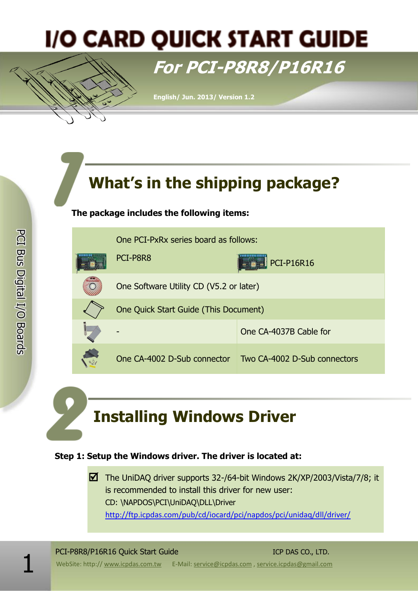## **I/O CARD QUICK START GUIDE**

## **For PCI-P8R8/P16R16**

**English/ Jun. 2013/ Version 1.2**

## **What's in the shipping package?**

#### **The package includes the following items:**



## **Installing Windows Driver**

#### **Step 1: Setup the Windows driver. The driver is located at:**

The UniDAQ driver supports 32-/64-bit Windows  $2K/XP/2003/Vista/7/8$ ; it is recommended to install this driver for new user: CD: \NAPDOS\PCI\UniDAQ\DLL\Driver <http://ftp.icpdas.com/pub/cd/iocard/pci/napdos/pci/unidaq/dll/driver/>

1 WebSite: http:// www.icpdas.com.tw E-Mail: service@icpdas.com , service.icpdas@gmail.com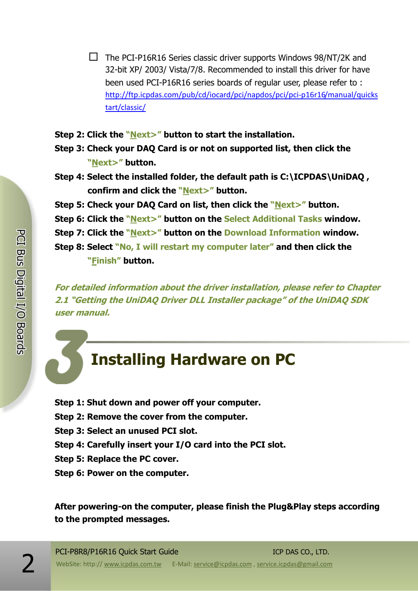- $\Box$  The PCI-P16R16 Series classic driver supports Windows 98/NT/2K and 32-bit XP/ 2003/ Vista/7/8. Recommended to install this driver for have been used PCI-P16R16 series boards of regular user, please refer to : [http://ftp.icpdas.com/pub/cd/iocard/pci/napdos/pci/pci-p16r16/manual/quicks](http://ftp.icpdas.com/pub/cd/iocard/pci/napdos/pci/pci-p16r16/manual/quickstart/classic/) [tart/classic/](http://ftp.icpdas.com/pub/cd/iocard/pci/napdos/pci/pci-p16r16/manual/quickstart/classic/)
- **Step 2: Click the "Next>" button to start the installation.**
- **Step 3: Check your DAQ Card is or not on supported list, then click the "Next>" button.**
- **Step 4: Select the installed folder, the default path is C:\ICPDAS\UniDAQ , confirm and click the "Next>" button.**
- **Step 5: Check your DAQ Card on list, then click the "Next>" button.**
- **Step 6: Click the "Next>" button on the Select Additional Tasks window.**
- **Step 7: Click the "Next>" button on the Download Information window.**
- **Step 8: Select "No, I will restart my computer later" and then click the "Finish" button.**

**For detailed information about the driver installation, please refer to Chapter 2.1 "Getting the UniDAQ Driver DLL Installer package" of the UniDAQ SDK user manual.**

### **Installing Hardware on PC**

- **Step 1: Shut down and power off your computer.**
- **Step 2: Remove the cover from the computer.**
- **Step 3: Select an unused PCI slot.**
- **Step 4: Carefully insert your I/O card into the PCI slot.**
- **Step 5: Replace the PC cover.**
- **Step 6: Power on the computer.**

**After powering-on the computer, please finish the Plug&Play steps according to the prompted messages.**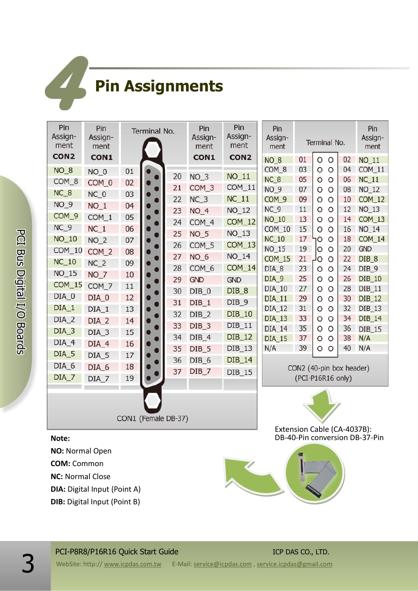# **Pin Assignments**

| Pin<br>Assign-<br>ment                                                                                                                                                                                                     | Pin<br>Assign-<br>ment                                                                                                                                                                                             | Terminal No.                                                                                                   |  |                                                                                                          | Pin<br>Assign-<br>ment                                                                                                                                                                               | Pin<br>Assign-<br>ment                                                                                                                                                                                                    | Pin<br>Assign-<br>ment                                                                                                                                                                                                                            | Terminal No.                                                                                                         |                                                                                                                                                                                                                                                                                                                                                                                 |                                                                                                                      | Pin<br>Assign-<br>ment                                                                                                                                                                                                      |
|----------------------------------------------------------------------------------------------------------------------------------------------------------------------------------------------------------------------------|--------------------------------------------------------------------------------------------------------------------------------------------------------------------------------------------------------------------|----------------------------------------------------------------------------------------------------------------|--|----------------------------------------------------------------------------------------------------------|------------------------------------------------------------------------------------------------------------------------------------------------------------------------------------------------------|---------------------------------------------------------------------------------------------------------------------------------------------------------------------------------------------------------------------------|---------------------------------------------------------------------------------------------------------------------------------------------------------------------------------------------------------------------------------------------------|----------------------------------------------------------------------------------------------------------------------|---------------------------------------------------------------------------------------------------------------------------------------------------------------------------------------------------------------------------------------------------------------------------------------------------------------------------------------------------------------------------------|----------------------------------------------------------------------------------------------------------------------|-----------------------------------------------------------------------------------------------------------------------------------------------------------------------------------------------------------------------------|
| CON <sub>2</sub><br>$NO_8$<br>COM_8<br>$NC_8$<br>$NO_9$<br>COM_9<br>$NC_9$<br>$NO_10$<br>$COM_10$<br>$NC_10$<br>NO_15<br><b>COM_15</b><br>$DIA_0$<br>$DIA_1$<br>$DIA_2$<br>$DIA_3$<br>$DIA_4$<br>$DIA_5$<br>DIA_6<br>DIA_7 | <b>CON1</b><br>$NO_0$<br>COM_0<br>$NC_0$<br>$NO_1$<br>$COM_1$<br>$NC_1$<br>$NO_2$<br>$COM_2$<br>NC <sub>2</sub><br>$NO-7$<br>COM_7<br>$DIA_0$<br>$DIA_1$<br>$DIA_2$<br>DIA_3<br>$DIA_4$<br>DIA_5<br>DIA_6<br>DIA_7 | 01<br>02<br>03<br>04<br>05<br>06<br>07<br>08<br>09<br>10<br>11<br>12<br>13<br>14<br>15<br>16<br>17<br>18<br>19 |  | 20<br>21<br>22<br>23<br>24<br>25<br>26<br>27<br>28<br>29<br>30<br>31<br>32<br>33<br>34<br>35<br>36<br>37 | CON1<br>$NO-3$<br>COM_3<br>$NC_3$<br>$NO_4$<br>COM_4<br><b>NO_5</b><br>COM_5<br>$NO_6$<br>COM_6<br><b>GND</b><br>DIB 0<br>$DIB_1$<br>DIB <sub>2</sub><br>DIB_3<br>DIB_4<br>DIB_5<br>DIB_6<br>$DIB_7$ | CON <sub>2</sub><br>$NO_11$<br>$COM_11$<br>$NC_11$<br>$NO_12$<br>$COM_12$<br>$NO_13$<br>$COM_13$<br>$NO_14$<br>COM_14<br><b>GND</b><br>$DIB_8$<br>$DIB_9$<br>DIB_10<br>$DIB_11$<br>DIB_12<br>$DIB_13$<br>DIB_14<br>DIB_15 | <b>NO_8</b><br>COM <sub>8</sub><br>NC_8<br>$NO_9$<br>COM <sub>9</sub><br>NC <sub>9</sub><br>NO_10<br>COM_10<br><b>NC_10</b><br>NO_15<br>COM_15<br>DIA_8<br>DIA_9<br>DIA_10<br>DIA_11<br><b>DIA 12</b><br>DIA_13<br>DIA_14<br><b>DIA_15</b><br>N/A | 01<br>03<br>05<br>07<br>09<br>11<br>13<br>15<br>17<br>19<br>21<br>23<br>25<br>27<br>29<br>31<br>33<br>35<br>37<br>39 | $\circ$<br>$\circ$<br>O<br>$\circ$<br>O<br>$\circ$<br>O<br>$\circ$<br>O<br>$\circ$<br>O<br>$\circ$<br>O<br>$\circ$<br>O<br>$\circ$<br>JΟ<br>O<br>$\circ$<br>O<br>ЧO<br>$\circ$<br>O<br>O<br>$\circ$<br>$\circ$<br>O<br>$\circ$<br>$\circ$<br>$\circ$<br>O<br>$\circ$<br>O<br>$\circ$<br>O<br>$\circ$<br>O<br>$\circ$<br>O<br>O<br>CON2 (40-pin box header)<br>(PCI-P16R16 only) | 02<br>04<br>06<br>08<br>10<br>12<br>14<br>16<br>18<br>20<br>22<br>24<br>26<br>28<br>30<br>32<br>34<br>36<br>38<br>40 | $NO_11$<br>$COM_11$<br>$NC_11$<br>$NO_12$<br><b>COM_12</b><br>NO_13<br>$COM_13$<br>$NO_14$<br>COM_14<br><b>GND</b><br>DIB_8<br>DIB <sub>9</sub><br>DIB_10<br>$DIB_11$<br>DIB_12<br>DIB_13<br>DIB_14<br>DIB_15<br>N/A<br>N/A |
| CON1 (Female DB-37)<br>Note:<br>NO: Normal Open<br><b>COM: Common</b><br><b>NC: Normal Close</b><br><b>DIA:</b> Digital Input (Point A)<br><b>DIB:</b> Digital Input (Point B)                                             |                                                                                                                                                                                                                    |                                                                                                                |  |                                                                                                          |                                                                                                                                                                                                      |                                                                                                                                                                                                                           | Extension Cable (CA-4037B):<br>DB-40-Pin conversion DB-37-Pin                                                                                                                                                                                     |                                                                                                                      |                                                                                                                                                                                                                                                                                                                                                                                 |                                                                                                                      |                                                                                                                                                                                                                             |

#### PCI-P8R8/P16R16 Quick Start Guide ICP DAS CO., LTD.

**3** WebSite: http:// www.icpdas.com.tw E-Mail: <u>service@icpdas.com</u> , <u>service.icpdas@gmail.com</u>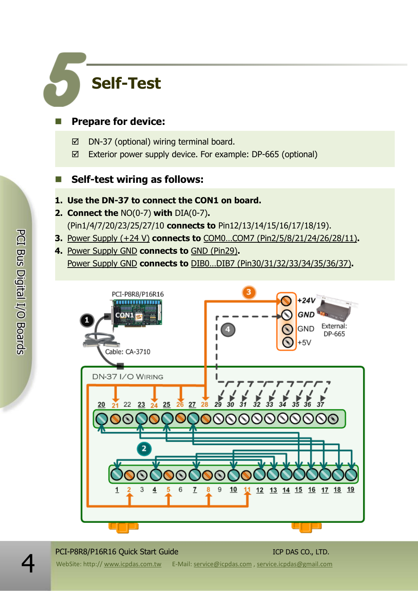## **Self-Test**

#### **Prepare for device:**

- $\boxtimes$  DN-37 (optional) wiring terminal board.
- Exterior power supply device. For example: DP-665 (optional)

#### **Self-test wiring as follows:**

#### **1. Use the DN-37 to connect the CON1 on board.**

- **2. Connect the** NO(0-7) **with** DIA(0-7)**.**  (Pin1/4/7/20/23/25/27/10 **connects to** Pin12/13/14/15/16/17/18/19).
- **3.** Power Supply (+24 V) **connects to** COM0…COM7 (Pin2/5/8/21/24/26/28/11)**.**
- **4.** Power Supply GND **connects to** GND (Pin29)**.** Power Supply GND **connects to** DIB0…DIB7 (Pin30/31/32/33/34/35/36/37)**.**



#### PCI-P8R8/P16R16 Quick Start Guide ICP DAS CO., LTD.

PCI Bus Digital I/O Boards

WebSite: http:// www.icpdas.com.tw E-Mail: service@icpdas.com , service.icpdas@gmail.com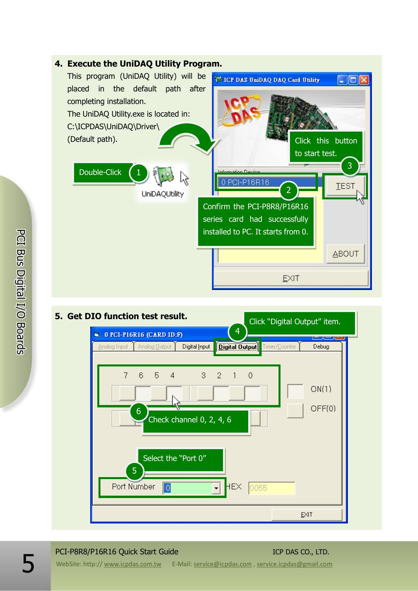



#### **5. Get DIO function test result.**

#### PCI-P8R8/P16R16 Quick Start Guide ICP DAS CO., LTD.

WebSite: http:// www.icpdas.com.tw E-Mail: service@icpdas.com , service.icpdas@gmail.com